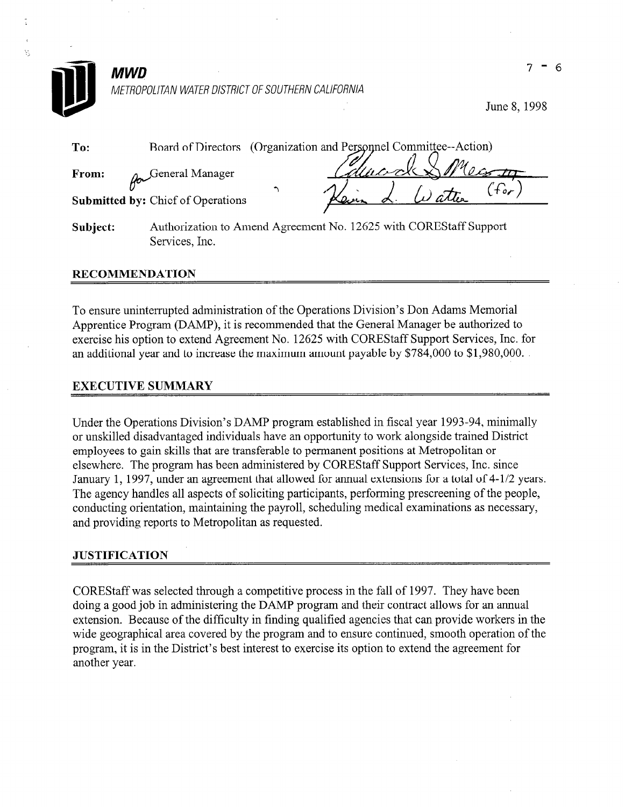

y.

June 8, 1998

| To:      | Board of Directors (Organization and Personnel Committee--Action) |            |        |           |
|----------|-------------------------------------------------------------------|------------|--------|-----------|
| From:    | Joeneral Manager                                                  | Education. |        | $M_{0}$   |
|          | <b>Submitted by: Chief of Operations</b>                          |            | Watter | $\tau$ or |
| Subject: | Authorization to Amend Agreement No. 12625 with COREStaff Support |            |        |           |

#### RECOMMENDATION

Services, Inc.

To ensure uninterrupted administration of the Operations Division's Don Adams Memorial Apprentice Program (DAMP), it is recommended that the General Manager be authorized to exercise his option to extend Agreement No. 12625 with COREStaff Support Services, Inc. for an additional year and to increase the maximum amount payable by \$784,000 to \$1,980,000.

## EXECUTIVE SUMMARY

Under the Operations Division's DAMP program established in fiscal year 1993-94, minimally or unskilled disadvantaged individuals have an opportunity to work alongside trained District employees to gain skills that are transferable to permanent positions at Metropolitan or elsewhere. The program has been administered by COREStaff Support Services, Inc. since January 1, 1997, under an agreement that allowed for annual extensions for a total of 4-1/2 years. The agency handles all aspects of soliciting participants, performing prescreening of the people, conducting orientation, maintaining the payroll, scheduling medical examinations as necessary, and providing reports to Metropolitan as requested.

#### **JUSTIFICATION**

COREStaff was selected through a competitive process in the fall of 1997. They have been doing a good job in administering the DAMP program and their contract allows for an annual extension. Because of the difficulty in finding qualified agencies that can provide workers in the wide geographical area covered by the program and to ensure continued, smooth operation of the program, it is in the District's best interest to exercise its option to extend the agreement for another year.